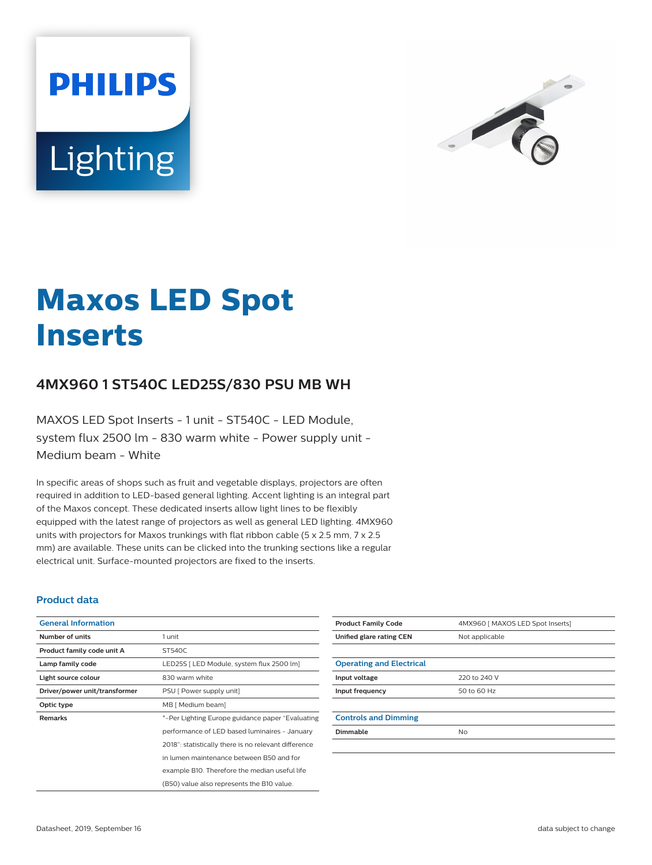



# **Maxos LED Spot Inserts**

## **4MX960 1 ST540C LED25S/830 PSU MB WH**

MAXOS LED Spot Inserts - 1 unit - ST540C - LED Module, system flux 2500 lm - 830 warm white - Power supply unit - Medium beam - White

In specific areas of shops such as fruit and vegetable displays, projectors are often required in addition to LED-based general lighting. Accent lighting is an integral part of the Maxos concept. These dedicated inserts allow light lines to be flexibly equipped with the latest range of projectors as well as general LED lighting. 4MX960 units with projectors for Maxos trunkings with flat ribbon cable (5 x 2.5 mm, 7 x 2.5 mm) are available. These units can be clicked into the trunking sections like a regular electrical unit. Surface-mounted projectors are fixed to the inserts.

#### **Product data**

| <b>General Information</b>    |                                                      |
|-------------------------------|------------------------------------------------------|
| Number of units               | 1 unit                                               |
| Product family code unit A    | ST540C                                               |
| Lamp family code              | LED25S [ LED Module, system flux 2500 lm]            |
| Light source colour           | 830 warm white                                       |
| Driver/power unit/transformer | PSU [ Power supply unit]                             |
| Optic type                    | MB [ Medium beam]                                    |
| <b>Remarks</b>                | *-Per Lighting Europe guidance paper "Evaluating"    |
|                               | performance of LED based luminaires - January        |
|                               | 2018": statistically there is no relevant difference |
|                               | in lumen maintenance between B50 and for             |
|                               | example B10. Therefore the median useful life        |
|                               | (B50) value also represents the B10 value.           |

| <b>Product Family Code</b>      | 4MX960 [ MAXOS LED Spot Inserts] |
|---------------------------------|----------------------------------|
| Unified glare rating CEN        | Not applicable                   |
|                                 |                                  |
| <b>Operating and Electrical</b> |                                  |
| Input voltage                   | 220 to 240 V                     |
| Input frequency                 | 50 to 60 Hz                      |
|                                 |                                  |
| <b>Controls and Dimming</b>     |                                  |
| Dimmable                        | No                               |
|                                 |                                  |